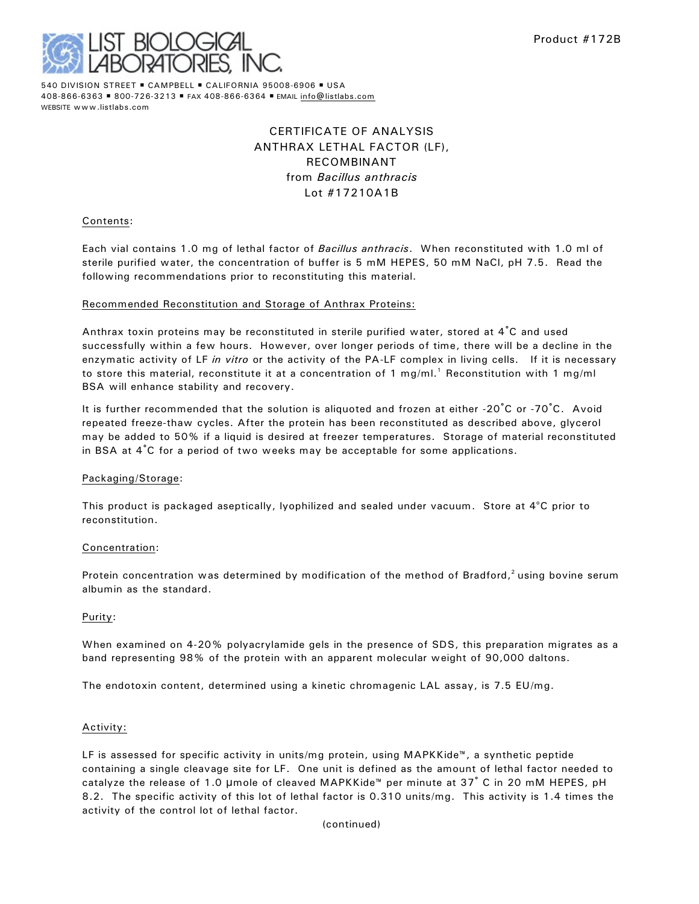

540 DIVISION STREET . CAMPBELL . CALIFORNIA 95008-6906 . USA 408-866-6363 · 800-726-3213 · FAX 408-866-6364 · EMAIL [info@listlabs.com](mailto:info@listlabs.com) WEBSITE www.listlabs.com

# CERTIFICATE OF ANALYSIS ANTHRAX LETHAL FACTOR (LF), RECOMBINANT from *Bacillus anthracis* Lot #17210A1B

#### Contents:

Each vial contains 1.0 mg of lethal factor of *Bacillus anthracis*. When reconstituted with 1.0 ml of sterile purified water, the concentration of buffer is 5 mM HEPES, 50 mM NaCl, pH 7.5. Read the following recommendations prior to reconstituting this material.

#### Recommended Reconstitution and Storage of Anthrax Proteins:

Anthrax toxin proteins may be reconstituted in sterile purified water, stored at 4°C and used successfully within a few hours. However, over longer periods of time, there will be a decline in the enzymatic activity of LF *in vitro* or the activity of the PA-LF complex in living cells. If it is necessary to store this material, reconstitute it at a concentration of 1 mg/ml.<sup>1</sup> Reconstitution with 1 mg/ml BSA will enhance stability and recovery.

It is further recommended that the solution is aliquoted and frozen at either -20 $^{\circ}$ C or -70 $^{\circ}$ C. Avoid repeated freeze-thaw cycles. After the protein has been reconstituted as described above, glycerol may be added to 50% if a liquid is desired at freezer temperatures. Storage of material reconstituted in BSA at  $4^{\circ}$ C for a period of two weeks may be acceptable for some applications.

#### Packaging/Storage:

This product is packaged aseptically, lyophilized and sealed under vacuum. Store at  $4^{\circ}$ C prior to reconstitution.

#### Concentration:

Protein concentration was determined by modification of the method of Bradford,<sup>2</sup> using bovine serum albumin as the standard.

#### Purity:

When examined on 4-20% polyacrylamide gels in the presence of SDS, this preparation migrates as a band representing 98% of the protein with an apparent molecular weight of 90,000 daltons.

The endotoxin content, determined using a kinetic chromagenic LAL assay, is 7.5 EU/mg.

#### Activity:

LF is assessed for specific activity in units/mg protein, using MAPKKide™, a synthetic peptide containing a single cleavage site for LF. One unit is defined as the amount of lethal factor needed to catalyze the release of 1.0 µmole of cleaved MAPKKide™ per minute at 37° C in 20 mM HEPES, pH 8.2. The specific activity of this lot of lethal factor is 0.310 units/mg. This activity is 1.4 times the activity of the control lot of lethal factor.